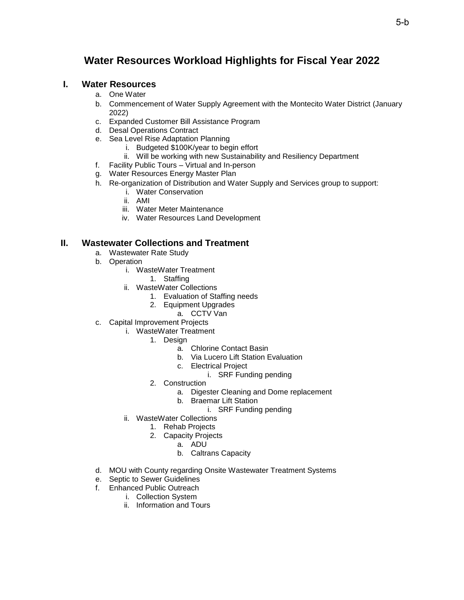# **Water Resources Workload Highlights for Fiscal Year 2022**

## **I. Water Resources**

- a. One Water
- b. Commencement of Water Supply Agreement with the Montecito Water District (January 2022)
- c. Expanded Customer Bill Assistance Program
- d. Desal Operations Contract
- e. Sea Level Rise Adaptation Planning
	- i. Budgeted \$100K/year to begin effort
	- ii. Will be working with new Sustainability and Resiliency Department
- f. Facility Public Tours Virtual and In-person
- g. Water Resources Energy Master Plan
- h. Re-organization of Distribution and Water Supply and Services group to support:
	- i. Water Conservation
	- ii. AMI
	- iii. Water Meter Maintenance
	- iv. Water Resources Land Development

# **II. Wastewater Collections and Treatment**

- a. Wastewater Rate Study
- b. Operation
	- i. WasteWater Treatment
		- 1. Staffing
	- ii. WasteWater Collections
		- 1. Evaluation of Staffing needs
		- 2. Equipment Upgrades
			- a. CCTV Van
- c. Capital Improvement Projects
	- i. WasteWater Treatment
		- 1. Design
			- a. Chlorine Contact Basin
			- b. Via Lucero Lift Station Evaluation
			- c. Electrical Project
				- i. SRF Funding pending
		- 2. Construction
			- a. Digester Cleaning and Dome replacement
			- b. Braemar Lift Station
				- i. SRF Funding pending
	- ii. WasteWater Collections
		- 1. Rehab Projects
		- 2. Capacity Projects
			- a. ADU
				- b. Caltrans Capacity
- d. MOU with County regarding Onsite Wastewater Treatment Systems
- e. Septic to Sewer Guidelines
- f. Enhanced Public Outreach
	- i. Collection System
	- ii. Information and Tours